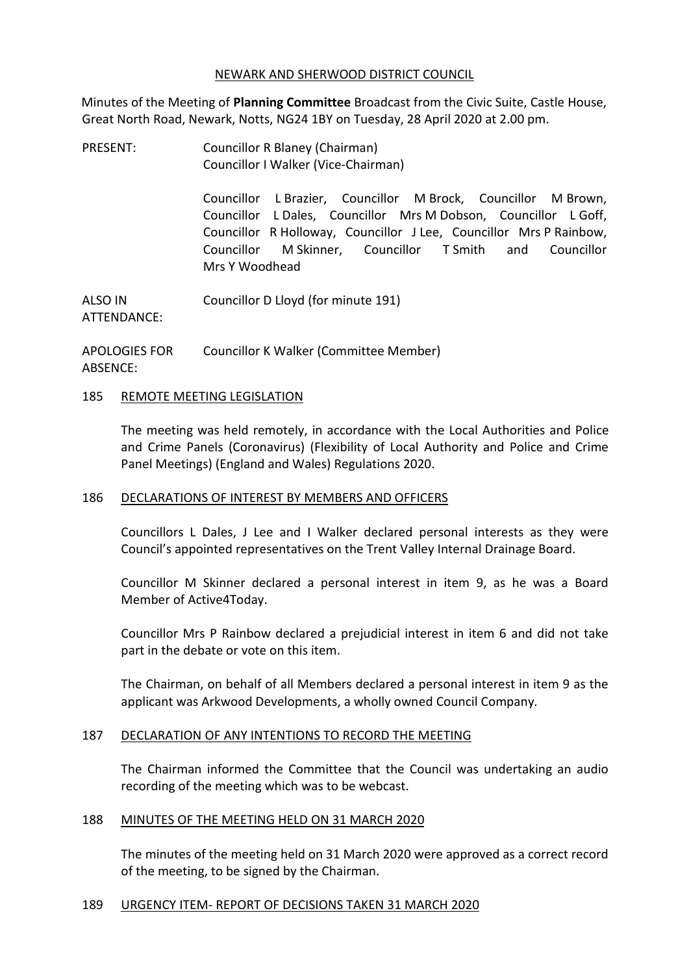#### NEWARK AND SHERWOOD DISTRICT COUNCIL

Minutes of the Meeting of **Planning Committee** Broadcast from the Civic Suite, Castle House, Great North Road, Newark, Notts, NG24 1BY on Tuesday, 28 April 2020 at 2.00 pm.

PRESENT: Councillor R Blaney (Chairman) Councillor I Walker (Vice-Chairman)

> Councillor L Brazier, Councillor M Brock, Councillor M Brown, Councillor L Dales, Councillor Mrs M Dobson, Councillor L Goff, Councillor R Holloway, Councillor J Lee, Councillor Mrs P Rainbow, Councillor M Skinner, Councillor T Smith and Councillor Mrs Y Woodhead

ALSO IN ATTENDANCE: Councillor D Lloyd (for minute 191)

APOLOGIES FOR ABSENCE: Councillor K Walker (Committee Member)

#### 185 REMOTE MEETING LEGISLATION

The meeting was held remotely, in accordance with the Local Authorities and Police and Crime Panels (Coronavirus) (Flexibility of Local Authority and Police and Crime Panel Meetings) (England and Wales) Regulations 2020.

## 186 DECLARATIONS OF INTEREST BY MEMBERS AND OFFICERS

Councillors L Dales, J Lee and I Walker declared personal interests as they were Council's appointed representatives on the Trent Valley Internal Drainage Board.

Councillor M Skinner declared a personal interest in item 9, as he was a Board Member of Active4Today.

Councillor Mrs P Rainbow declared a prejudicial interest in item 6 and did not take part in the debate or vote on this item.

The Chairman, on behalf of all Members declared a personal interest in item 9 as the applicant was Arkwood Developments, a wholly owned Council Company.

## 187 DECLARATION OF ANY INTENTIONS TO RECORD THE MEETING

The Chairman informed the Committee that the Council was undertaking an audio recording of the meeting which was to be webcast.

#### 188 MINUTES OF THE MEETING HELD ON 31 MARCH 2020

The minutes of the meeting held on 31 March 2020 were approved as a correct record of the meeting, to be signed by the Chairman.

#### 189 URGENCY ITEM- REPORT OF DECISIONS TAKEN 31 MARCH 2020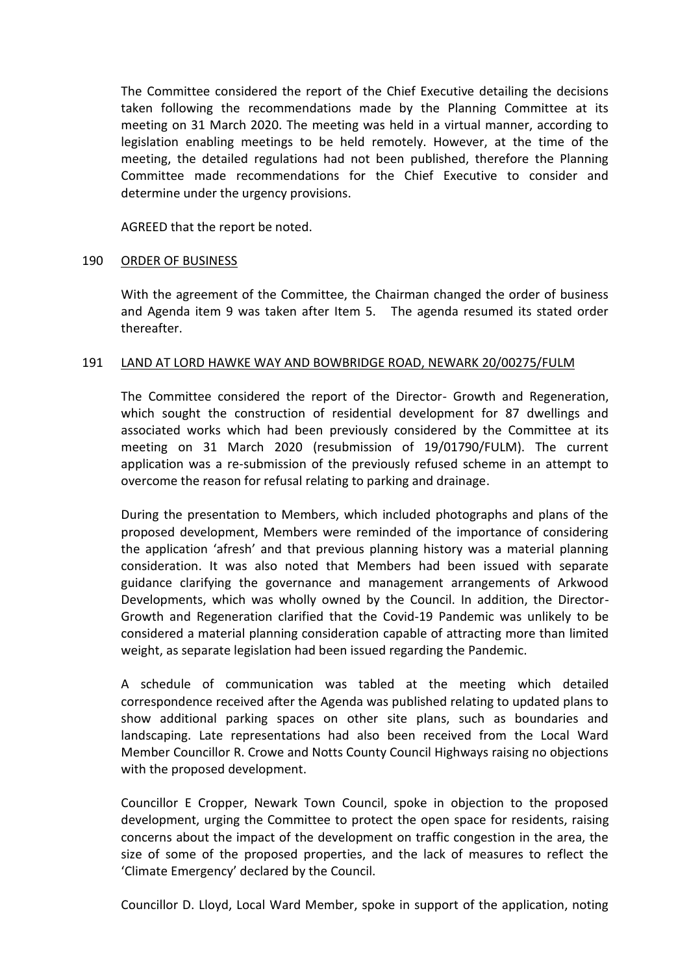The Committee considered the report of the Chief Executive detailing the decisions taken following the recommendations made by the Planning Committee at its meeting on 31 March 2020. The meeting was held in a virtual manner, according to legislation enabling meetings to be held remotely. However, at the time of the meeting, the detailed regulations had not been published, therefore the Planning Committee made recommendations for the Chief Executive to consider and determine under the urgency provisions.

AGREED that the report be noted.

#### 190 ORDER OF BUSINESS

With the agreement of the Committee, the Chairman changed the order of business and Agenda item 9 was taken after Item 5. The agenda resumed its stated order thereafter.

#### 191 LAND AT LORD HAWKE WAY AND BOWBRIDGE ROAD, NEWARK 20/00275/FULM

The Committee considered the report of the Director- Growth and Regeneration, which sought the construction of residential development for 87 dwellings and associated works which had been previously considered by the Committee at its meeting on 31 March 2020 (resubmission of 19/01790/FULM). The current application was a re-submission of the previously refused scheme in an attempt to overcome the reason for refusal relating to parking and drainage.

During the presentation to Members, which included photographs and plans of the proposed development, Members were reminded of the importance of considering the application 'afresh' and that previous planning history was a material planning consideration. It was also noted that Members had been issued with separate guidance clarifying the governance and management arrangements of Arkwood Developments, which was wholly owned by the Council. In addition, the Director-Growth and Regeneration clarified that the Covid-19 Pandemic was unlikely to be considered a material planning consideration capable of attracting more than limited weight, as separate legislation had been issued regarding the Pandemic.

A schedule of communication was tabled at the meeting which detailed correspondence received after the Agenda was published relating to updated plans to show additional parking spaces on other site plans, such as boundaries and landscaping. Late representations had also been received from the Local Ward Member Councillor R. Crowe and Notts County Council Highways raising no objections with the proposed development.

Councillor E Cropper, Newark Town Council, spoke in objection to the proposed development, urging the Committee to protect the open space for residents, raising concerns about the impact of the development on traffic congestion in the area, the size of some of the proposed properties, and the lack of measures to reflect the 'Climate Emergency' declared by the Council.

Councillor D. Lloyd, Local Ward Member, spoke in support of the application, noting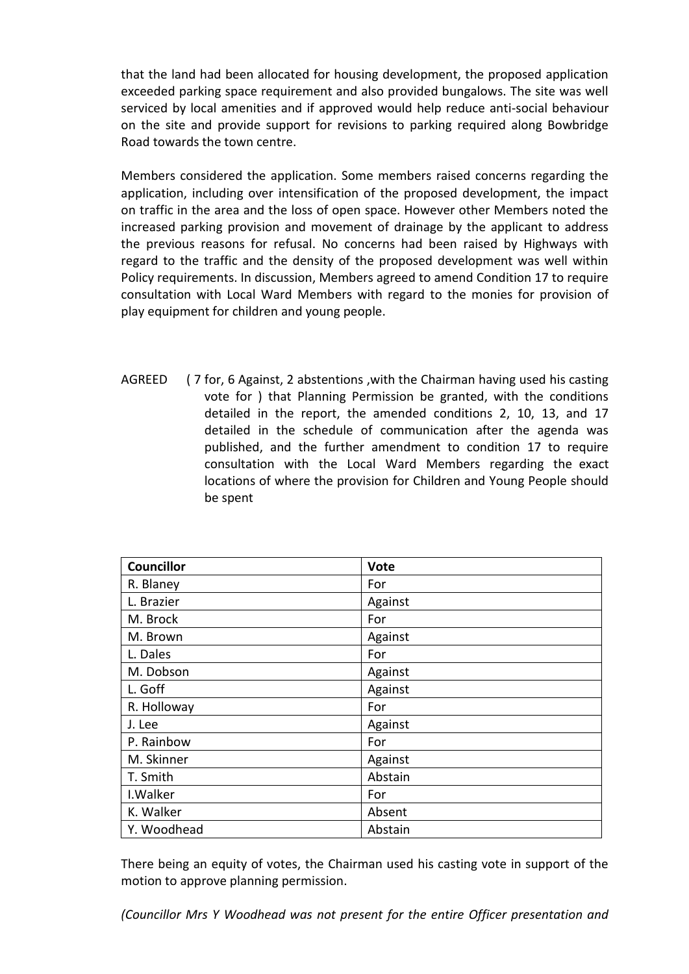that the land had been allocated for housing development, the proposed application exceeded parking space requirement and also provided bungalows. The site was well serviced by local amenities and if approved would help reduce anti-social behaviour on the site and provide support for revisions to parking required along Bowbridge Road towards the town centre.

Members considered the application. Some members raised concerns regarding the application, including over intensification of the proposed development, the impact on traffic in the area and the loss of open space. However other Members noted the increased parking provision and movement of drainage by the applicant to address the previous reasons for refusal. No concerns had been raised by Highways with regard to the traffic and the density of the proposed development was well within Policy requirements. In discussion, Members agreed to amend Condition 17 to require consultation with Local Ward Members with regard to the monies for provision of play equipment for children and young people.

AGREED ( 7 for, 6 Against, 2 abstentions ,with the Chairman having used his casting vote for ) that Planning Permission be granted, with the conditions detailed in the report, the amended conditions 2, 10, 13, and 17 detailed in the schedule of communication after the agenda was published, and the further amendment to condition 17 to require consultation with the Local Ward Members regarding the exact locations of where the provision for Children and Young People should be spent

| <b>Councillor</b> | Vote    |
|-------------------|---------|
| R. Blaney         | For     |
| L. Brazier        | Against |
| M. Brock          | For     |
| M. Brown          | Against |
| L. Dales          | For     |
| M. Dobson         | Against |
| L. Goff           | Against |
| R. Holloway       | For     |
| J. Lee            | Against |
| P. Rainbow        | For     |
| M. Skinner        | Against |
| T. Smith          | Abstain |
| I. Walker         | For     |
| K. Walker         | Absent  |
| Y. Woodhead       | Abstain |

There being an equity of votes, the Chairman used his casting vote in support of the motion to approve planning permission.

*(Councillor Mrs Y Woodhead was not present for the entire Officer presentation and*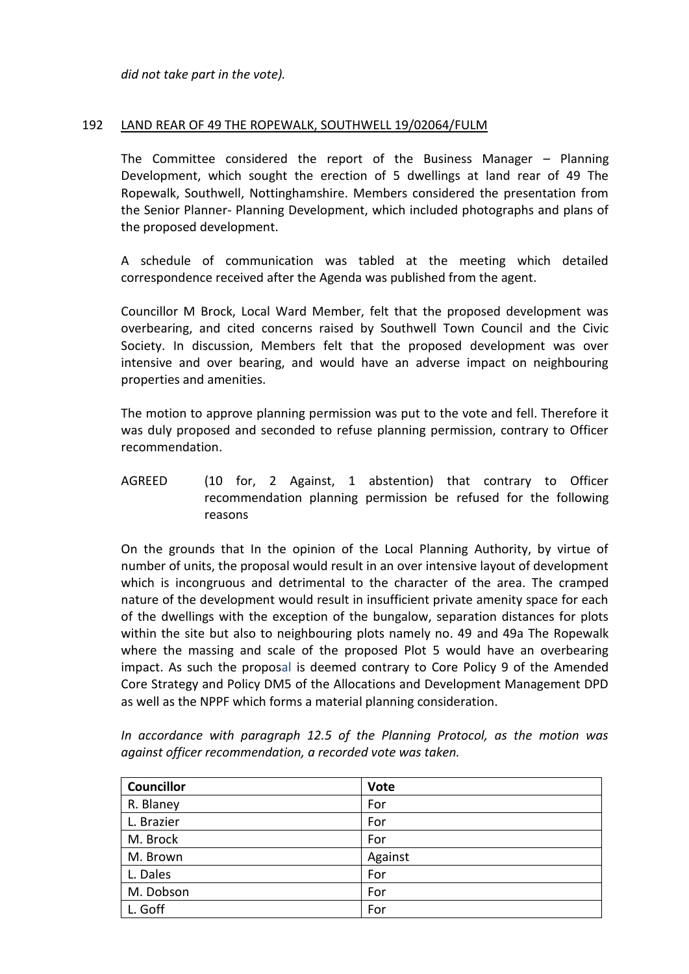*did not take part in the vote).*

#### 192 LAND REAR OF 49 THE ROPEWALK, SOUTHWELL 19/02064/FULM

The Committee considered the report of the Business Manager – Planning Development, which sought the erection of 5 dwellings at land rear of 49 The Ropewalk, Southwell, Nottinghamshire. Members considered the presentation from the Senior Planner- Planning Development, which included photographs and plans of the proposed development.

A schedule of communication was tabled at the meeting which detailed correspondence received after the Agenda was published from the agent.

Councillor M Brock, Local Ward Member, felt that the proposed development was overbearing, and cited concerns raised by Southwell Town Council and the Civic Society. In discussion, Members felt that the proposed development was over intensive and over bearing, and would have an adverse impact on neighbouring properties and amenities.

The motion to approve planning permission was put to the vote and fell. Therefore it was duly proposed and seconded to refuse planning permission, contrary to Officer recommendation.

AGREED (10 for, 2 Against, 1 abstention) that contrary to Officer recommendation planning permission be refused for the following reasons

On the grounds that In the opinion of the Local Planning Authority, by virtue of number of units, the proposal would result in an over intensive layout of development which is incongruous and detrimental to the character of the area. The cramped nature of the development would result in insufficient private amenity space for each of the dwellings with the exception of the bungalow, separation distances for plots within the site but also to neighbouring plots namely no. 49 and 49a The Ropewalk where the massing and scale of the proposed Plot 5 would have an overbearing impact. As such the proposal is deemed contrary to Core Policy 9 of the Amended Core Strategy and Policy DM5 of the Allocations and Development Management DPD as well as the NPPF which forms a material planning consideration.

| Councillor | <b>Vote</b> |
|------------|-------------|
| R. Blaney  | For         |
| L. Brazier | For         |
| M. Brock   | For         |
| M. Brown   | Against     |
| L. Dales   | For         |
| M. Dobson  | For         |
| L. Goff    | For         |

*In accordance with paragraph 12.5 of the Planning Protocol, as the motion was against officer recommendation, a recorded vote was taken.*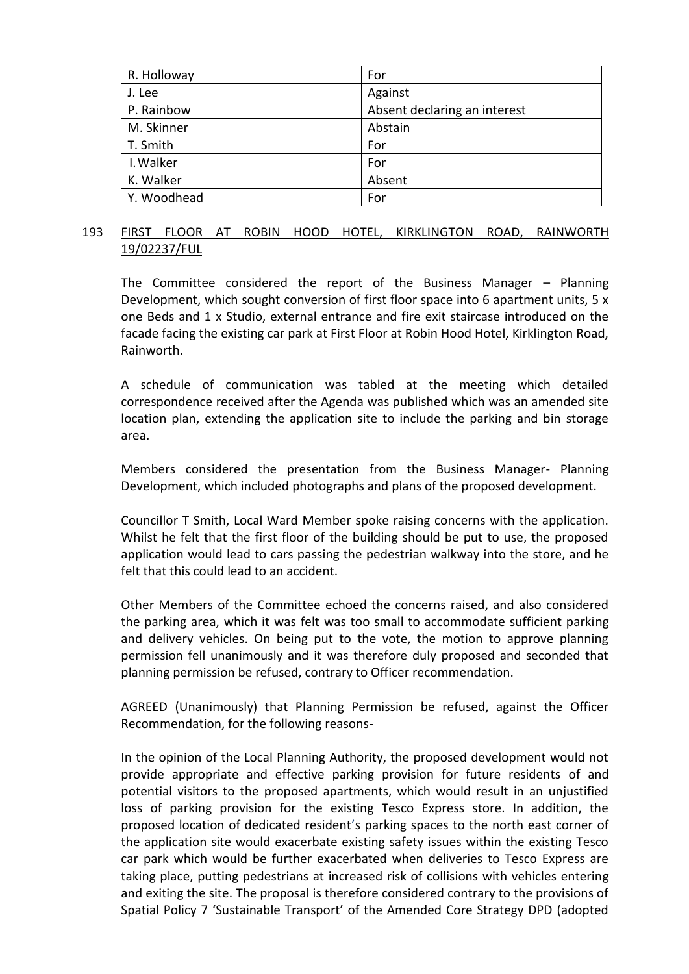| R. Holloway | For                          |
|-------------|------------------------------|
| J. Lee      | Against                      |
| P. Rainbow  | Absent declaring an interest |
| M. Skinner  | Abstain                      |
| T. Smith    | For                          |
| I. Walker   | For                          |
| K. Walker   | Absent                       |
| Y. Woodhead | For                          |

## 193 FIRST FLOOR AT ROBIN HOOD HOTEL, KIRKLINGTON ROAD, RAINWORTH 19/02237/FUL

The Committee considered the report of the Business Manager – Planning Development, which sought conversion of first floor space into 6 apartment units, 5 x one Beds and 1 x Studio, external entrance and fire exit staircase introduced on the facade facing the existing car park at First Floor at Robin Hood Hotel, Kirklington Road, Rainworth.

A schedule of communication was tabled at the meeting which detailed correspondence received after the Agenda was published which was an amended site location plan, extending the application site to include the parking and bin storage area.

Members considered the presentation from the Business Manager- Planning Development, which included photographs and plans of the proposed development.

Councillor T Smith, Local Ward Member spoke raising concerns with the application. Whilst he felt that the first floor of the building should be put to use, the proposed application would lead to cars passing the pedestrian walkway into the store, and he felt that this could lead to an accident.

Other Members of the Committee echoed the concerns raised, and also considered the parking area, which it was felt was too small to accommodate sufficient parking and delivery vehicles. On being put to the vote, the motion to approve planning permission fell unanimously and it was therefore duly proposed and seconded that planning permission be refused, contrary to Officer recommendation.

AGREED (Unanimously) that Planning Permission be refused, against the Officer Recommendation, for the following reasons-

In the opinion of the Local Planning Authority, the proposed development would not provide appropriate and effective parking provision for future residents of and potential visitors to the proposed apartments, which would result in an unjustified loss of parking provision for the existing Tesco Express store. In addition, the proposed location of dedicated resident's parking spaces to the north east corner of the application site would exacerbate existing safety issues within the existing Tesco car park which would be further exacerbated when deliveries to Tesco Express are taking place, putting pedestrians at increased risk of collisions with vehicles entering and exiting the site. The proposal is therefore considered contrary to the provisions of Spatial Policy 7 'Sustainable Transport' of the Amended Core Strategy DPD (adopted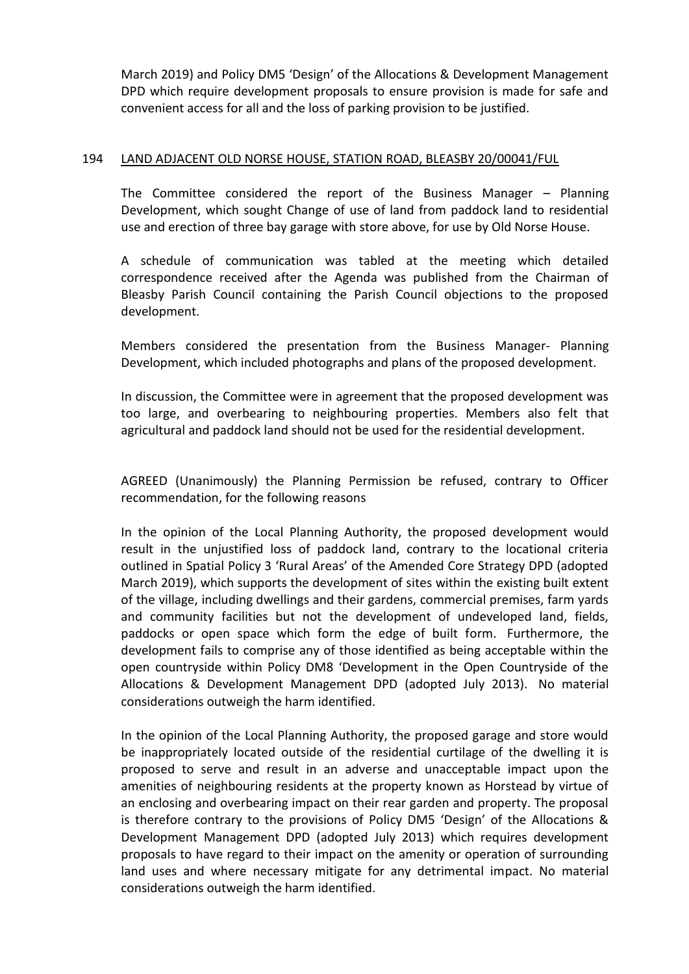March 2019) and Policy DM5 'Design' of the Allocations & Development Management DPD which require development proposals to ensure provision is made for safe and convenient access for all and the loss of parking provision to be justified.

## 194 LAND ADJACENT OLD NORSE HOUSE, STATION ROAD, BLEASBY 20/00041/FUL

The Committee considered the report of the Business Manager – Planning Development, which sought Change of use of land from paddock land to residential use and erection of three bay garage with store above, for use by Old Norse House.

A schedule of communication was tabled at the meeting which detailed correspondence received after the Agenda was published from the Chairman of Bleasby Parish Council containing the Parish Council objections to the proposed development.

Members considered the presentation from the Business Manager- Planning Development, which included photographs and plans of the proposed development.

In discussion, the Committee were in agreement that the proposed development was too large, and overbearing to neighbouring properties. Members also felt that agricultural and paddock land should not be used for the residential development.

AGREED (Unanimously) the Planning Permission be refused, contrary to Officer recommendation, for the following reasons

In the opinion of the Local Planning Authority, the proposed development would result in the unjustified loss of paddock land, contrary to the locational criteria outlined in Spatial Policy 3 'Rural Areas' of the Amended Core Strategy DPD (adopted March 2019), which supports the development of sites within the existing built extent of the village, including dwellings and their gardens, commercial premises, farm yards and community facilities but not the development of undeveloped land, fields, paddocks or open space which form the edge of built form. Furthermore, the development fails to comprise any of those identified as being acceptable within the open countryside within Policy DM8 'Development in the Open Countryside of the Allocations & Development Management DPD (adopted July 2013). No material considerations outweigh the harm identified.

In the opinion of the Local Planning Authority, the proposed garage and store would be inappropriately located outside of the residential curtilage of the dwelling it is proposed to serve and result in an adverse and unacceptable impact upon the amenities of neighbouring residents at the property known as Horstead by virtue of an enclosing and overbearing impact on their rear garden and property. The proposal is therefore contrary to the provisions of Policy DM5 'Design' of the Allocations & Development Management DPD (adopted July 2013) which requires development proposals to have regard to their impact on the amenity or operation of surrounding land uses and where necessary mitigate for any detrimental impact. No material considerations outweigh the harm identified.